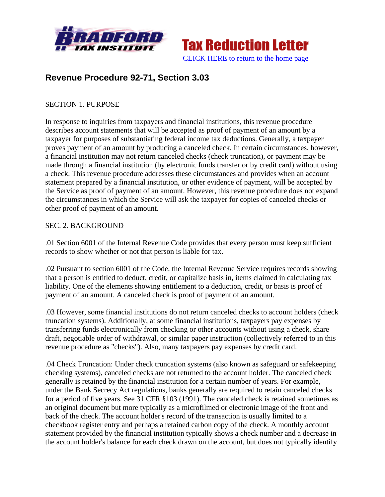



# **Revenue Procedure 92-71, Section 3.03**

### SECTION 1. PURPOSE

In response to inquiries from taxpayers and financial institutions, this revenue procedure describes account statements that will be accepted as proof of payment of an amount by a taxpayer for purposes of substantiating federal income tax deductions. Generally, a taxpayer proves payment of an amount by producing a canceled check. In certain circumstances, however, a financial institution may not return canceled checks (check truncation), or payment may be made through a financial institution (by electronic funds transfer or by credit card) without using a check. This revenue procedure addresses these circumstances and provides when an account statement prepared by a financial institution, or other evidence of payment, will be accepted by the Service as proof of payment of an amount. However, this revenue procedure does not expand the circumstances in which the Service will ask the taxpayer for copies of canceled checks or other proof of payment of an amount.

#### SEC. 2. BACKGROUND

.01 Section 6001 of the Internal Revenue Code provides that every person must keep sufficient records to show whether or not that person is liable for tax.

.02 Pursuant to section 6001 of the Code, the Internal Revenue Service requires records showing that a person is entitled to deduct, credit, or capitalize basis in, items claimed in calculating tax liability. One of the elements showing entitlement to a deduction, credit, or basis is proof of payment of an amount. A canceled check is proof of payment of an amount.

.03 However, some financial institutions do not return canceled checks to account holders (check truncation systems). Additionally, at some financial institutions, taxpayers pay expenses by transferring funds electronically from checking or other accounts without using a check, share draft, negotiable order of withdrawal, or similar paper instruction (collectively referred to in this revenue procedure as "checks"). Also, many taxpayers pay expenses by credit card.

.04 Check Truncation: Under check truncation systems (also known as safeguard or safekeeping checking systems), canceled checks are not returned to the account holder. The canceled check generally is retained by the financial institution for a certain number of years. For example, under the Bank Secrecy Act regulations, banks generally are required to retain canceled checks for a period of five years. See 31 CFR §103 (1991). The canceled check is retained sometimes as an original document but more typically as a microfilmed or electronic image of the front and back of the check. The account holder's record of the transaction is usually limited to a checkbook register entry and perhaps a retained carbon copy of the check. A monthly account statement provided by the financial institution typically shows a check number and a decrease in the account holder's balance for each check drawn on the account, but does not typically identify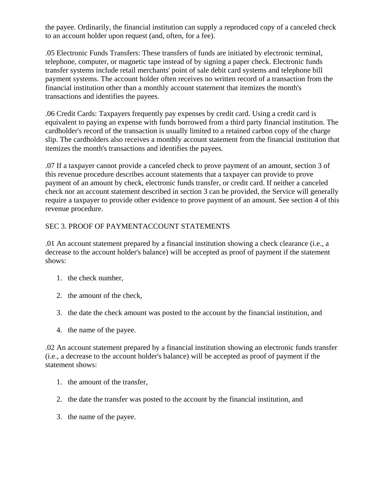the payee. Ordinarily, the financial institution can supply a reproduced copy of a canceled check to an account holder upon request (and, often, for a fee).

.05 Electronic Funds Transfers: These transfers of funds are initiated by electronic terminal, telephone, computer, or magnetic tape instead of by signing a paper check. Electronic funds transfer systems include retail merchants' point of sale debit card systems and telephone bill payment systems. The account holder often receives no written record of a transaction from the financial institution other than a monthly account statement that itemizes the month's transactions and identifies the payees.

.06 Credit Cards: Taxpayers frequently pay expenses by credit card. Using a credit card is equivalent to paying an expense with funds borrowed from a third party financial institution. The cardholder's record of the transaction is usually limited to a retained carbon copy of the charge slip. The cardholders also receives a monthly account statement from the financial institution that itemizes the month's transactions and identifies the payees.

.07 If a taxpayer cannot provide a canceled check to prove payment of an amount, section 3 of this revenue procedure describes account statements that a taxpayer can provide to prove payment of an amount by check, electronic funds transfer, or credit card. If neither a canceled check nor an account statement described in section 3 can be provided, the Service will generally require a taxpayer to provide other evidence to prove payment of an amount. See section 4 of this revenue procedure.

## SEC 3. PROOF OF PAYMENTACCOUNT STATEMENTS

.01 An account statement prepared by a financial institution showing a check clearance (i.e., a decrease to the account holder's balance) will be accepted as proof of payment if the statement shows:

- 1. the check number,
- 2. the amount of the check,
- 3. the date the check amount was posted to the account by the financial institution, and
- 4. the name of the payee.

.02 An account statement prepared by a financial institution showing an electronic funds transfer (i.e., a decrease to the account holder's balance) will be accepted as proof of payment if the statement shows:

- 1. the amount of the transfer,
- 2. the date the transfer was posted to the account by the financial institution, and
- 3. the name of the payee.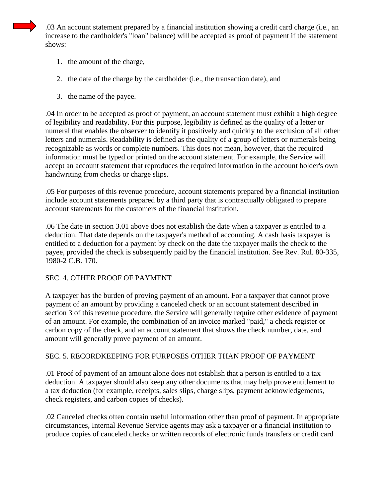.03 An account statement prepared by a financial institution showing a credit card charge (i.e., an increase to the cardholder's "loan" balance) will be accepted as proof of payment if the statement shows:

- 1. the amount of the charge,
- 2. the date of the charge by the cardholder (i.e., the transaction date), and
- 3. the name of the payee.

.04 In order to be accepted as proof of payment, an account statement must exhibit a high degree of legibility and readability. For this purpose, legibility is defined as the quality of a letter or numeral that enables the observer to identify it positively and quickly to the exclusion of all other letters and numerals. Readability is defined as the quality of a group of letters or numerals being recognizable as words or complete numbers. This does not mean, however, that the required information must be typed or printed on the account statement. For example, the Service will accept an account statement that reproduces the required information in the account holder's own handwriting from checks or charge slips.

.05 For purposes of this revenue procedure, account statements prepared by a financial institution include account statements prepared by a third party that is contractually obligated to prepare account statements for the customers of the financial institution.

.06 The date in section 3.01 above does not establish the date when a taxpayer is entitled to a deduction. That date depends on the taxpayer's method of accounting. A cash basis taxpayer is entitled to a deduction for a payment by check on the date the taxpayer mails the check to the payee, provided the check is subsequently paid by the financial institution. See Rev. Rul. 80-335, 1980-2 C.B. 170.

#### SEC. 4. OTHER PROOF OF PAYMENT

A taxpayer has the burden of proving payment of an amount. For a taxpayer that cannot prove payment of an amount by providing a canceled check or an account statement described in section 3 of this revenue procedure, the Service will generally require other evidence of payment of an amount. For example, the combination of an invoice marked "paid," a check register or carbon copy of the check, and an account statement that shows the check number, date, and amount will generally prove payment of an amount.

## SEC. 5. RECORDKEEPING FOR PURPOSES OTHER THAN PROOF OF PAYMENT

.01 Proof of payment of an amount alone does not establish that a person is entitled to a tax deduction. A taxpayer should also keep any other documents that may help prove entitlement to a tax deduction (for example, receipts, sales slips, charge slips, payment acknowledgements, check registers, and carbon copies of checks).

.02 Canceled checks often contain useful information other than proof of payment. In appropriate circumstances, Internal Revenue Service agents may ask a taxpayer or a financial institution to produce copies of canceled checks or written records of electronic funds transfers or credit card